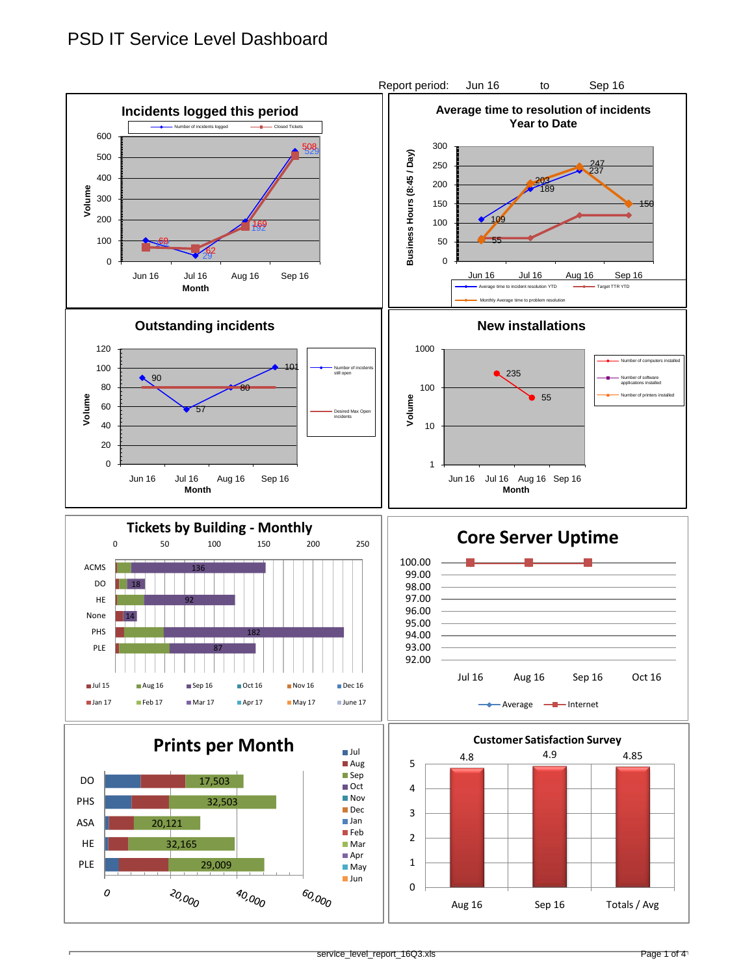## PSD IT Service Level Dashboard

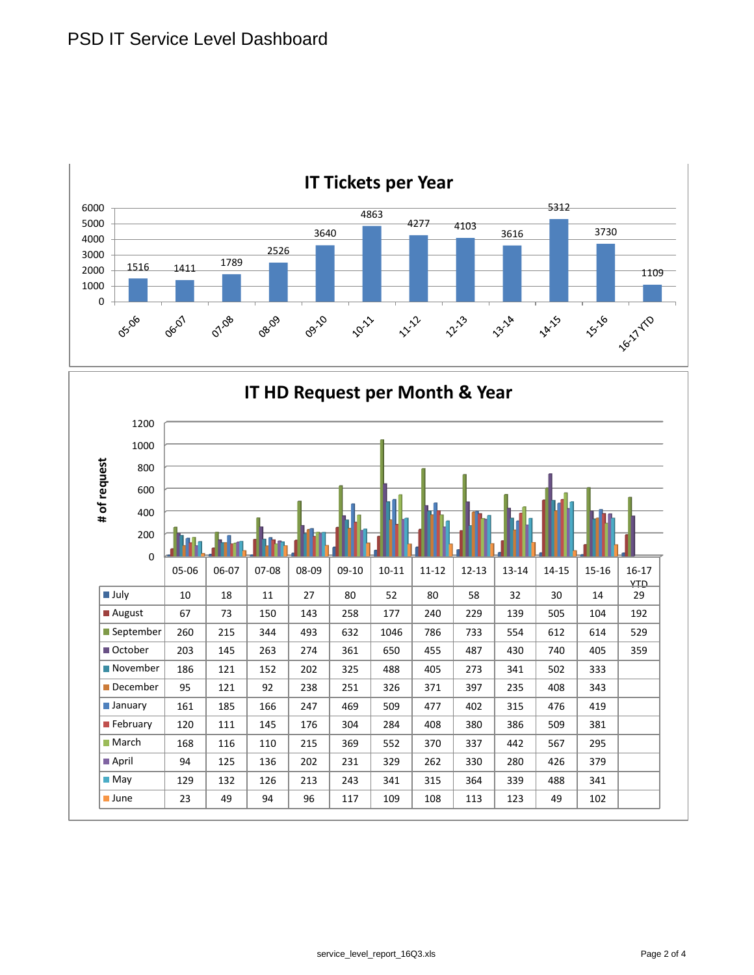

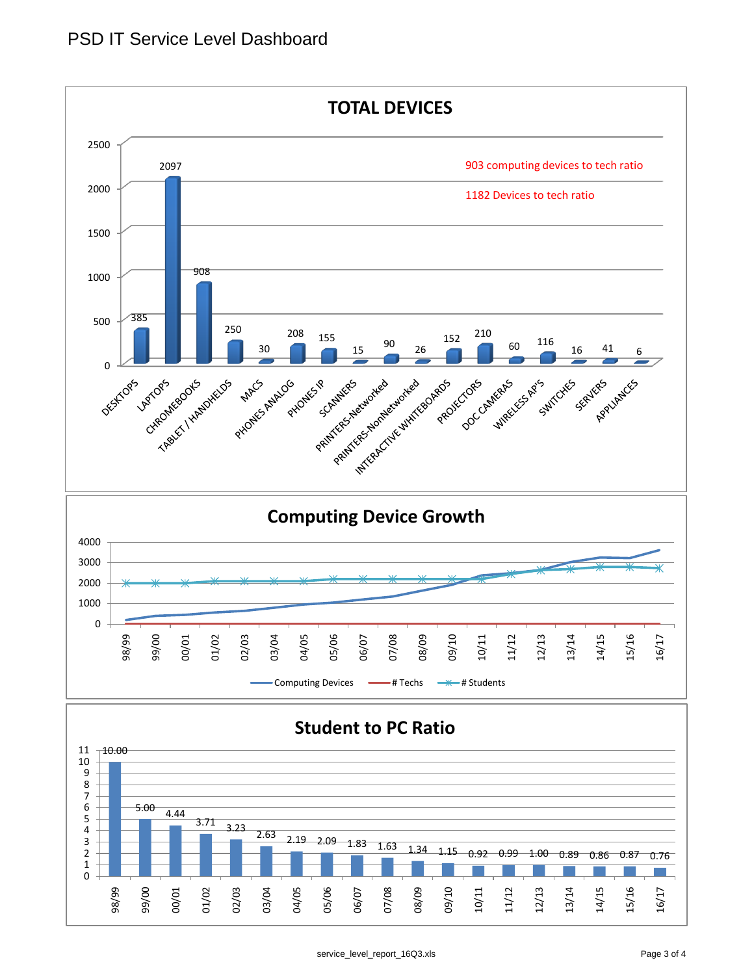